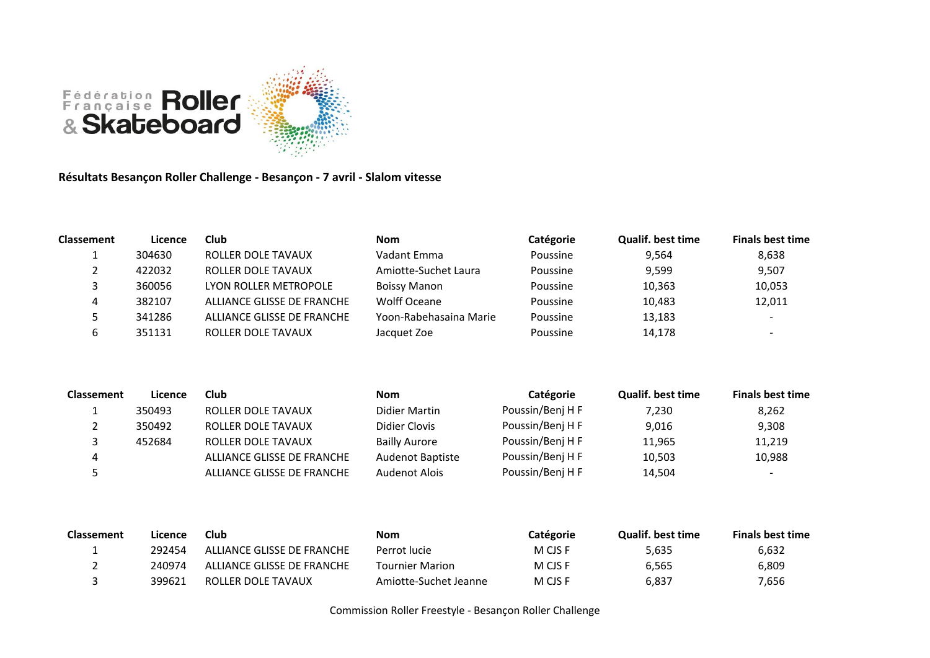

**Résultats Besançon Roller Challenge - Besançon - 7 avril - Slalom vitesse**

| <b>Classement</b> | Licence | Club                       | <b>Nom</b>             | Catégorie | <b>Qualif. best time</b> | <b>Finals best time</b>  |
|-------------------|---------|----------------------------|------------------------|-----------|--------------------------|--------------------------|
|                   | 304630  | ROLLER DOLE TAVAUX         | Vadant Emma            | Poussine  | 9,564                    | 8,638                    |
|                   | 422032  | ROLLER DOLE TAVAUX         | Amiotte-Suchet Laura   | Poussine  | 9,599                    | 9,507                    |
|                   | 360056  | LYON ROLLER METROPOLE      | <b>Boissy Manon</b>    | Poussine  | 10,363                   | 10,053                   |
|                   | 382107  | ALLIANCE GLISSE DE FRANCHE | <b>Wolff Oceane</b>    | Poussine  | 10,483                   | 12,011                   |
|                   | 341286  | ALLIANCE GLISSE DE FRANCHE | Yoon-Rabehasaina Marie | Poussine  | 13,183                   | $\overline{\phantom{a}}$ |
|                   | 351131  | ROLLER DOLE TAVAUX         | Jacquet Zoe            | Poussine  | 14,178                   | $\overline{\phantom{0}}$ |

| <b>Classement</b> | Licence | Club                       | <b>Nom</b>              | Catégorie        | <b>Qualif. best time</b> | <b>Finals best time</b>  |
|-------------------|---------|----------------------------|-------------------------|------------------|--------------------------|--------------------------|
|                   | 350493  | ROLLER DOLE TAVAUX         | Didier Martin           | Poussin/Benj H F | 7.230                    | 8,262                    |
|                   | 350492  | ROLLER DOLE TAVAUX         | Didier Clovis           | Poussin/Benj H F | 9,016                    | 9,308                    |
|                   | 452684  | ROLLER DOLE TAVAUX         | <b>Bailly Aurore</b>    | Poussin/Benj H F | 11,965                   | 11,219                   |
| 4                 |         | ALLIANCE GLISSE DE FRANCHE | <b>Audenot Baptiste</b> | Poussin/Benj H F | 10,503                   | 10,988                   |
|                   |         | ALLIANCE GLISSE DE FRANCHE | Audenot Alois           | Poussin/Benj H F | 14,504                   | $\overline{\phantom{0}}$ |

| <b>Classement</b> | Licence | <b>Club</b>                | Nom                    | <b>Catégorie</b> | <b>Qualif, best time</b> | <b>Finals best time</b> |
|-------------------|---------|----------------------------|------------------------|------------------|--------------------------|-------------------------|
|                   | 292454  | ALLIANCE GLISSE DE FRANCHE | Perrot lucie           | M CJS F          | 5,635                    | 6,632                   |
|                   | 240974  | ALLIANCE GLISSE DE FRANCHE | <b>Tournier Marion</b> | M CJS F          | 6,565                    | 6,809                   |
|                   | 399621  | ROLLER DOLE TAVAUX         | Amiotte-Suchet Jeanne  | M CJS F          | 6,837                    | 7,656                   |

Commission Roller Freestyle - Besançon Roller Challenge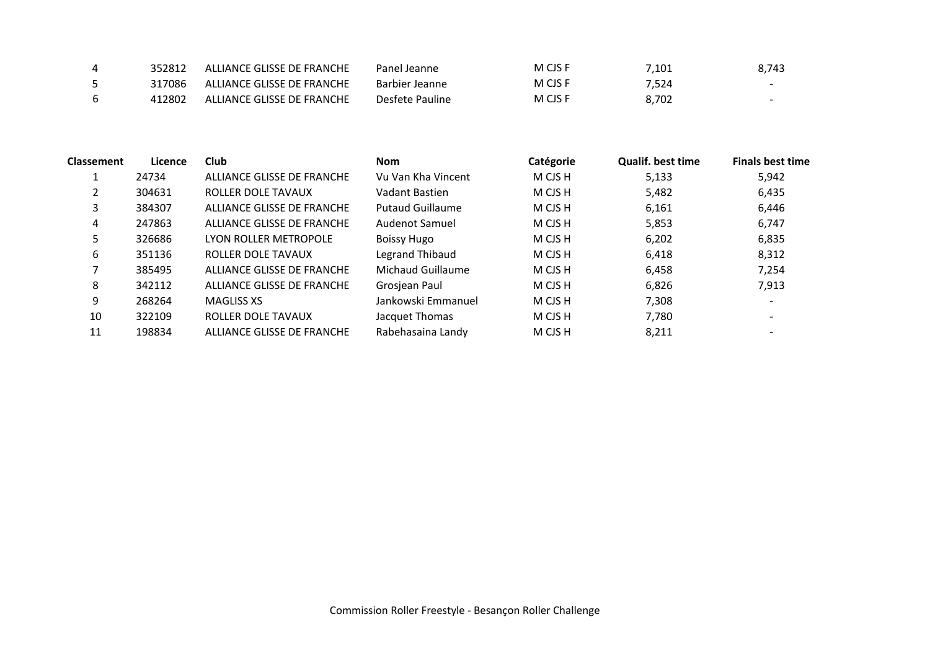|   | 352812 | ALLIANCE GLISSE DE FRANCHE | Panel Jeanne    | M CJS F | 1.101 | 8.743 |
|---|--------|----------------------------|-----------------|---------|-------|-------|
|   | 317086 | ALLIANCE GLISSE DE FRANCHE | Barbier Jeanne  | M CJS F | 7.524 | $-$   |
| 6 | 412802 | ALLIANCE GLISSE DE FRANCHE | Desfete Pauline | M CJS F | 8.702 |       |

| <b>Classement</b> | Licence | Club                       | <b>Nom</b>              | Catégorie | <b>Qualif, best time</b> | <b>Finals best time</b>  |
|-------------------|---------|----------------------------|-------------------------|-----------|--------------------------|--------------------------|
|                   | 24734   | ALLIANCE GLISSE DE FRANCHE | Vu Van Kha Vincent      | M CJS H   | 5,133                    | 5,942                    |
| 2                 | 304631  | ROLLER DOLE TAVAUX         | Vadant Bastien          | M CJS H   | 5,482                    | 6,435                    |
| 3                 | 384307  | ALLIANCE GLISSE DE FRANCHE | <b>Putaud Guillaume</b> | M CJS H   | 6,161                    | 6,446                    |
| 4                 | 247863  | ALLIANCE GLISSE DE FRANCHE | Audenot Samuel          | M CJS H   | 5,853                    | 6,747                    |
| 5.                | 326686  | LYON ROLLER METROPOLE      | <b>Boissy Hugo</b>      | M CJS H   | 6,202                    | 6,835                    |
| 6                 | 351136  | ROLLER DOLE TAVAUX         | Legrand Thibaud         | M CJS H   | 6,418                    | 8,312                    |
| 7                 | 385495  | ALLIANCE GLISSE DE FRANCHE | Michaud Guillaume       | M CJS H   | 6,458                    | 7,254                    |
| 8                 | 342112  | ALLIANCE GLISSE DE FRANCHE | Grosjean Paul           | M CJS H   | 6,826                    | 7,913                    |
| 9                 | 268264  | MAGLISS XS                 | Jankowski Emmanuel      | M CJS H   | 7,308                    | $\overline{\phantom{a}}$ |
| 10                | 322109  | ROLLER DOLE TAVAUX         | Jacquet Thomas          | M CJS H   | 7,780                    |                          |
| 11                | 198834  | ALLIANCE GLISSE DE FRANCHE | Rabehasaina Landy       | M CJS H   | 8,211                    |                          |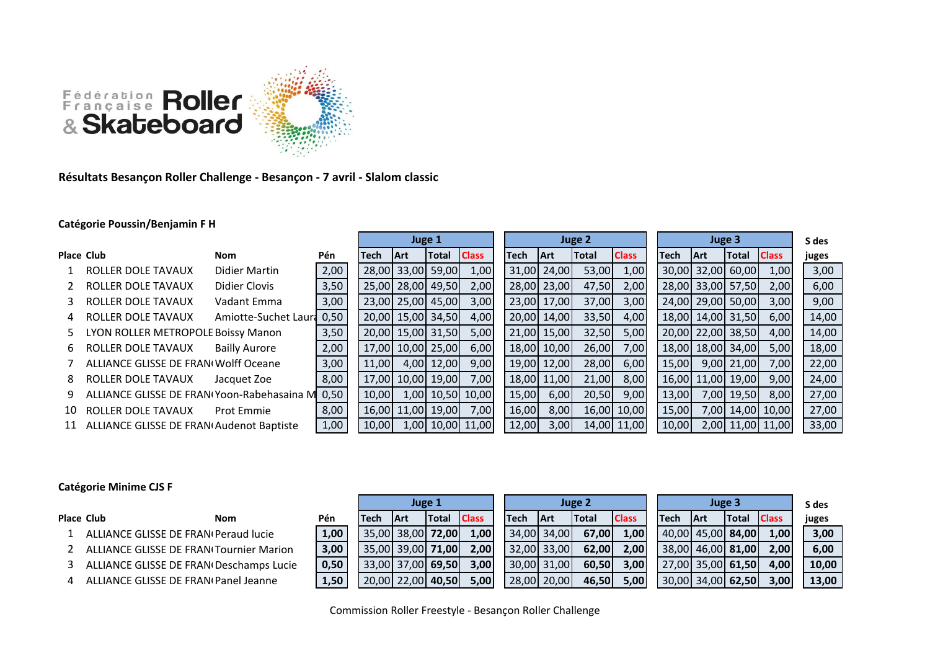

**Résultats Besançon Roller Challenge - Besançon - 7 avril - Slalom classic**

## **Catégorie Poussin/Benjamin F H**

|     |                                            |                      |      | Juge 1 |                   |            |                  |  |       |             | Juge 2       |              | Juge 3      |                   |                  |                  |  | S des |
|-----|--------------------------------------------|----------------------|------|--------|-------------------|------------|------------------|--|-------|-------------|--------------|--------------|-------------|-------------------|------------------|------------------|--|-------|
|     | Place Club                                 | Nom                  | Pén  | Tech   | <b>Art</b>        | Total      | <b>Class</b>     |  | Tech  | <b>IArt</b> | <b>Total</b> | <b>Class</b> | <b>Tech</b> | <b>IArt</b>       | <b>Total</b>     | <b>Class</b>     |  | juges |
|     | <b>ROLLER DOLE TAVAUX</b>                  | Didier Martin        | 2,00 |        | 28,00 33,00 59,00 |            | 1,00             |  |       | 31,00 24,00 | 53,00        | 1,00         |             | 30,00 32,00 60,00 |                  | 1,00             |  | 3,00  |
|     | ROLLER DOLE TAVAUX                         | Didier Clovis        | 3,50 |        | 25,00 28,00 49,50 |            | 2,00             |  |       | 28,00 23,00 | 47,50        | 2,00         |             | 28,00 33,00 57,50 |                  | 2,00             |  | 6,00  |
| 3   | ROLLER DOLE TAVAUX                         | Vadant Emma          | 3,00 |        | 23,00 25,00 45,00 |            | 3,00             |  |       | 23,00 17,00 | 37,00        | 3,00         |             | 24,00 29,00 50,00 |                  | 3,00             |  | 9,00  |
| 4   | ROLLER DOLE TAVAUX                         | Amiotte-Suchet Laura | 0,50 |        | 20,00 15,00 34,50 |            | 4,00             |  |       | 20,00 14,00 | 33,50        | 4,00         |             | 18,00 14,00 31,50 |                  | 6,00             |  | 14,00 |
| 5.  | <b>LYON ROLLER METROPOLE Boissy Manon</b>  |                      | 3,50 |        | 20,00 15,00 31,50 |            | 5,00             |  |       | 21,00 15,00 | 32,50        | 5,00         |             | 20,00 22,00 38,50 |                  | 4,00             |  | 14,00 |
| 6   | ROLLER DOLE TAVAUX                         | <b>Bailly Aurore</b> | 2,00 |        | 17,00 10,00 25,00 |            | 6,00             |  |       | 18,00 10,00 | 26,00        | 7,00         |             | 18,00 18,00 34,00 |                  | 5,00             |  | 18,00 |
|     | ALLIANCE GLISSE DE FRANI Wolff Oceane      |                      | 3,00 | 11,00  |                   | 4,00 12,00 | 9,00             |  |       | 19,00 12,00 | 28,00        | 6,00         | 15,00       |                   | 9,00 21,00       | 7,00             |  | 22,00 |
| 8   | ROLLER DOLE TAVAUX                         | Jacquet Zoe          | 8,00 |        | 17,00 10,00 19,00 |            | 7,00             |  |       | 18,00 11,00 | 21,00        | 8,00         |             | 16,00 11,00 19,00 |                  | 9,00             |  | 24,00 |
| 9.  | ALLIANCE GLISSE DE FRAN Yoon-Rabehasaina M |                      | 0,50 | 10,00  |                   |            | 1,00 10,50 10,00 |  | 15,00 | 6,00        | 20,50        | 9,00         | 13,00       |                   | 7,00 19,50       | 8,00             |  | 27,00 |
| 10. | <b>ROLLER DOLE TAVAUX</b>                  | <b>Prot Emmie</b>    | 8,00 |        | 16,00 11,00 19,00 |            | 7,00             |  | 16,00 | 8,00        |              | 16,00 10,00  | 15,00       |                   |                  | 7,00 14,00 10,00 |  | 27,00 |
| 11  | ALLIANCE GLISSE DE FRAN Audenot Baptiste   |                      | 1,00 | 10.00  |                   |            | 1,00 10,00 11,00 |  | 12,00 | 3,00        |              | 14,00 11,00  | 10,00       |                   | 2,00 11,00 11,00 |                  |  | 33,00 |

## **Catégorie Minime CJS F**

|                                                |      |      | Juge 1            |              |              |             |             | Juge 2       |              |             | Juge 3                       |               |              | S des |  |
|------------------------------------------------|------|------|-------------------|--------------|--------------|-------------|-------------|--------------|--------------|-------------|------------------------------|---------------|--------------|-------|--|
| Place Club<br>Nom                              | Pén  | Tech | <b>IArt</b>       | <b>Total</b> | <b>Class</b> | <b>Tech</b> | <b>IArt</b> | <b>Total</b> | <b>Class</b> | <b>Tech</b> | <b>IArt</b>                  | <b>ITotal</b> | <b>Class</b> | juges |  |
| ALLIANCE GLISSE DE FRAN(Peraud lucie           | 1,00 |      | 35,00 38,00 72,00 |              | 1,00         |             | 34,00 34,00 | 67,001       | 1,00         |             | $ 40,00 $ 45,00 <b>84,00</b> |               | 1,00         | 3,00  |  |
| <b>ALLIANCE GLISSE DE FRAN Tournier Marion</b> | 3,00 |      | 35,00 39,00 71,00 |              | 2,00         |             | 32,00 33,00 | 62.001       | 2,00         |             | 38,00 46,00 81,00            |               | 2.00         | 6,00  |  |
| ALLIANCE GLISSE DE FRAN(Deschamps Lucie        | 0,50 |      | 33.00 37.00 69.50 |              | 3,00         |             | 30,00 31,00 | 60,50        | 3,00         |             | 27,00 35,00 61,50            |               | 4,00         | 10,00 |  |
| ALLIANCE GLISSE DE FRAN(Panel Jeanne           | 1,50 |      | 20,00 22,00 40,50 |              | 5,00         |             | 28,00 20,00 | 46.50        | 5,00         |             | 30,00 34,00 62,50            |               | 3,00         | 13,00 |  |

Commission Roller Freestyle - Besançon Roller Challenge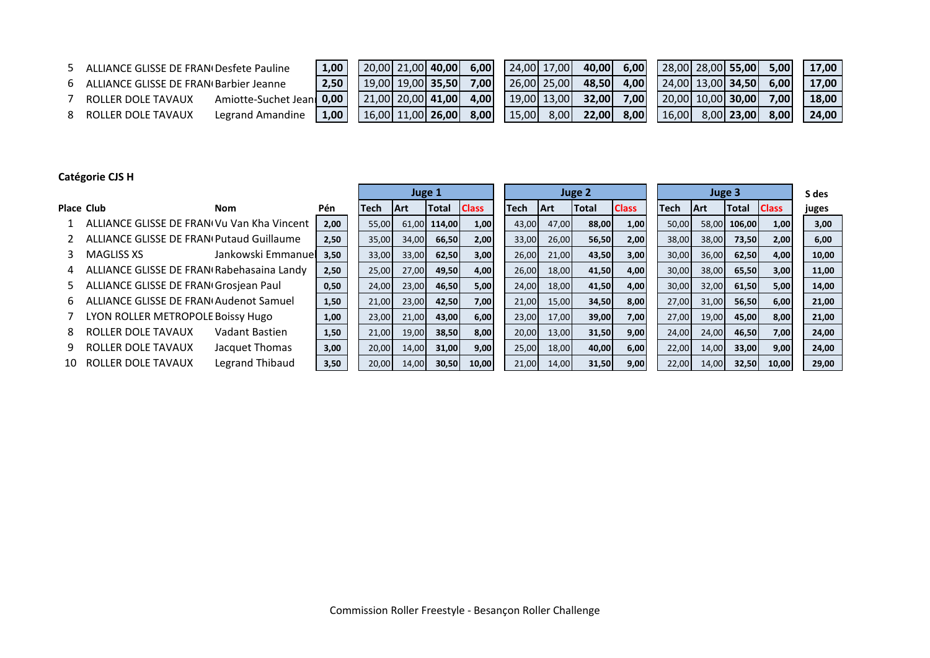- 
- 

| ALLIANCE GLISSE DE FRAN(Desfete Pauline  |                     | .00 <sub>1</sub> | 20.00 21.00 40.00            | 6.00 |        | $24,00$ 17,00 | 40.00        | 6,00 |       | 28,00 28,00 55,00    | 5.00  | 17,00 |
|------------------------------------------|---------------------|------------------|------------------------------|------|--------|---------------|--------------|------|-------|----------------------|-------|-------|
| 6 ALLIANCE GLISSE DE FRAN Barbier Jeanne |                     | 2.50             | 19.001 19.001 <b>35.50</b> L | 7,00 |        | 26,00 25,00   | 48.50        | 4.00 |       | 24.001 13.001 34.501 | 6.00  | 17.00 |
| ROLLER DOLE TAVAUX                       | Amiotte-Suchet Jean | 0.00             | $21.00$ 20.00 <b>41.00</b>   | 4.00 |        | $19,00$ 13,00 | 32.00        | 7.00 |       | 20.00 10.00 30.00    | 7.001 | 18.00 |
| ROLLER DOLE TAVAUX                       | Legrand Amandine    | 00.1             | 16.00 11.00 26.00            | 8,00 | 15,001 | 8,00          | <b>22.00</b> | 8,00 | 16,00 | 8,00 23,00           | 8.00  | 24,00 |

## **Catégorie CJS H**

|                   |                                                 |                    |      |       | Juge 1      |              |              | Juge 2 |             |       |              | Juge 3 |             |              |              | S des |
|-------------------|-------------------------------------------------|--------------------|------|-------|-------------|--------------|--------------|--------|-------------|-------|--------------|--------|-------------|--------------|--------------|-------|
| <b>Place Club</b> |                                                 | Nom                | Pén  | Tech  | <b>IArt</b> | <b>Total</b> | <b>Class</b> | Tech   | <b>IArt</b> | Total | <b>Class</b> | Tech   | <b>IArt</b> | <b>Total</b> | <b>Class</b> | juges |
|                   | ALLIANCE GLISSE DE FRAN(Vu Van Kha Vincent      |                    | 2,00 | 55,00 | 61,00       | 114,00       | 1,00         | 43,00  | 47,00       | 88,00 | 1,00         | 50,00  |             | 58,00 106,00 | 1,00         | 3,00  |
|                   | <b>ALLIANCE GLISSE DE FRAN Putaud Guillaume</b> |                    | 2,50 | 35,00 | 34,00       | 66,50        | 2,00         | 33,00  | 26,00       | 56,50 | 2,00         | 38,00  | 38,00       | 73,50        | 2,00         | 6,00  |
|                   | <b>MAGLISS XS</b>                               | Jankowski Emmanuel | 3,50 | 33,00 | 33,00       | 62,50        | 3,00         | 26,00  | 21,00       | 43,50 | 3,00         | 30,00  | 36,00       | 62,50        | 4,00         | 10,00 |
| 4                 | ALLIANCE GLISSE DE FRAN Rabehasaina Landy       |                    | 2,50 | 25,00 | 27,00       | 49,50        | 4,00         | 26,00  | 18,00       | 41,50 | 4,00         | 30,00  | 38,00       | 65,50        | 3,00         | 11,00 |
| 5.                | ALLIANCE GLISSE DE FRAN Grosjean Paul           |                    | 0,50 | 24,00 | 23,00       | 46,50        | 5,00         | 24,00  | 18,00       | 41,50 | 4,00         | 30,00  | 32,00       | 61,50        | 5,00         | 14,00 |
| 6.                | <b>ALLIANCE GLISSE DE FRAN(Audenot Samuel)</b>  |                    | 1,50 | 21,00 | 23,00       | 42,50        | 7,00         | 21,00  | 15,00       | 34,50 | 8,00         | 27,00  | 31,00       | 56,50        | 6,00         | 21,00 |
|                   | LYON ROLLER METROPOLE Boissy Hugo               |                    | 1,00 | 23,00 | 21,00       | 43,00        | 6,00         | 23,00  | 17,00       | 39,00 | 7,00         | 27,00  | 19,00       | 45,00        | 8,00         | 21,00 |
| 8                 | <b>ROLLER DOLE TAVAUX</b>                       | Vadant Bastien     | 1,50 | 21,00 | 19,00       | 38,50        | 8,00         | 20,00  | 13,00       | 31,50 | 9,00         | 24,00  | 24,00       | 46,50        | 7,00         | 24,00 |
| 9.                | ROLLER DOLE TAVAUX                              | Jacquet Thomas     | 3,00 | 20,00 | 14,00       | 31,00        | 9,00         | 25,00  | 18,00       | 40,00 | 6,00         | 22,00  | 14,00       | 33,00        | 9,00         | 24,00 |
| 10                | ROLLER DOLE TAVAUX                              | Legrand Thibaud    | 3,50 | 20,00 | 14,00       | 30,50        | 10,00        | 21,00  | 14,00       | 31,50 | 9,00         | 22,00  | 14,00       | 32,50        | 10,00        | 29,00 |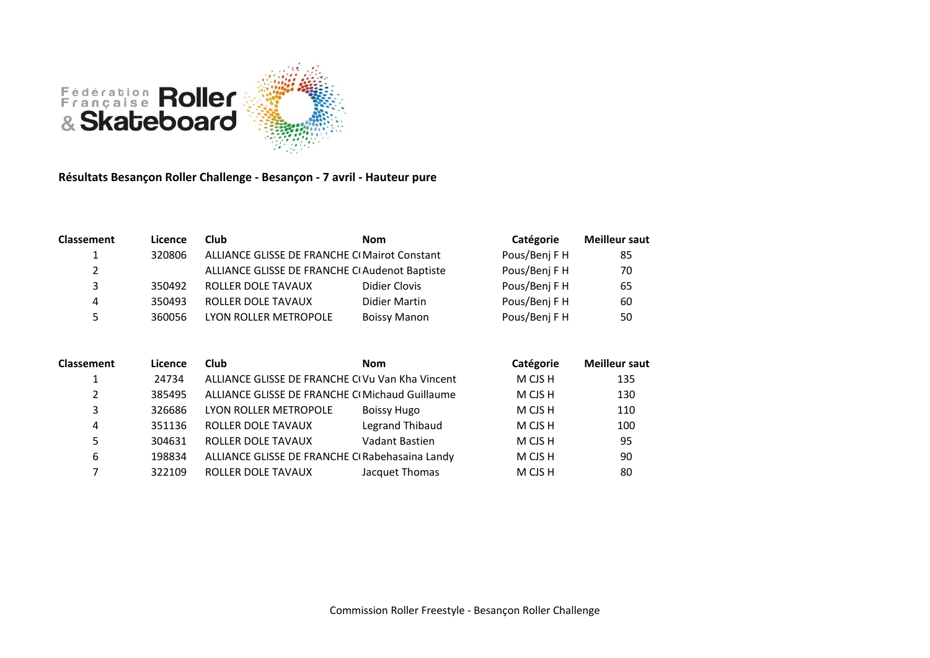

**Résultats Besançon Roller Challenge - Besançon - 7 avril - Hauteur pure**

| <b>Classement</b> | Licence | Club                                          | <b>Nom</b>          | Catégorie     | <b>Meilleur saut</b> |
|-------------------|---------|-----------------------------------------------|---------------------|---------------|----------------------|
|                   | 320806  | ALLIANCE GLISSE DE FRANCHE CI Mairot Constant |                     | Pous/Benj F H | 85                   |
| $\mathbf{2}$      |         | ALLIANCE GLISSE DE FRANCHE CIAudenot Baptiste |                     | Pous/Benj F H | 70                   |
| 3                 | 350492  | ROLLER DOLE TAVAUX                            | Didier Clovis       | Pous/Benj F H | 65                   |
| 4                 | 350493  | ROLLER DOLE TAVAUX                            | Didier Martin       | Pous/Benj F H | 60                   |
| 5                 | 360056  | LYON ROLLER METROPOLE                         | <b>Boissy Manon</b> | Pous/Benj F H | 50                   |

| <b>Classement</b> | Licence | Club                                            | <b>Nom</b>             | Catégorie | <b>Meilleur saut</b> |
|-------------------|---------|-------------------------------------------------|------------------------|-----------|----------------------|
|                   | 24734   | ALLIANCE GLISSE DE FRANCHE CIVU Van Kha Vincent |                        | M CJS H   | 135                  |
| 2                 | 385495  | ALLIANCE GLISSE DE FRANCHE CI Michaud Guillaume |                        | M CJS H   | 130                  |
| 3                 | 326686  | LYON ROLLER METROPOLE                           | <b>Boissy Hugo</b>     | M CJS H   | 110                  |
| 4                 | 351136  | ROLLER DOLE TAVAUX                              | <b>Legrand Thibaud</b> | M CJS H   | 100                  |
| 5                 | 304631  | ROLLER DOLE TAVAUX                              | Vadant Bastien         | M CJS H   | 95                   |
| 6                 | 198834  | ALLIANCE GLISSE DE FRANCHE CIRabehasaina Landy  |                        | M CJS H   | 90                   |
|                   | 322109  | ROLLER DOLE TAVAUX                              | Jacquet Thomas         | M CJS H   | 80                   |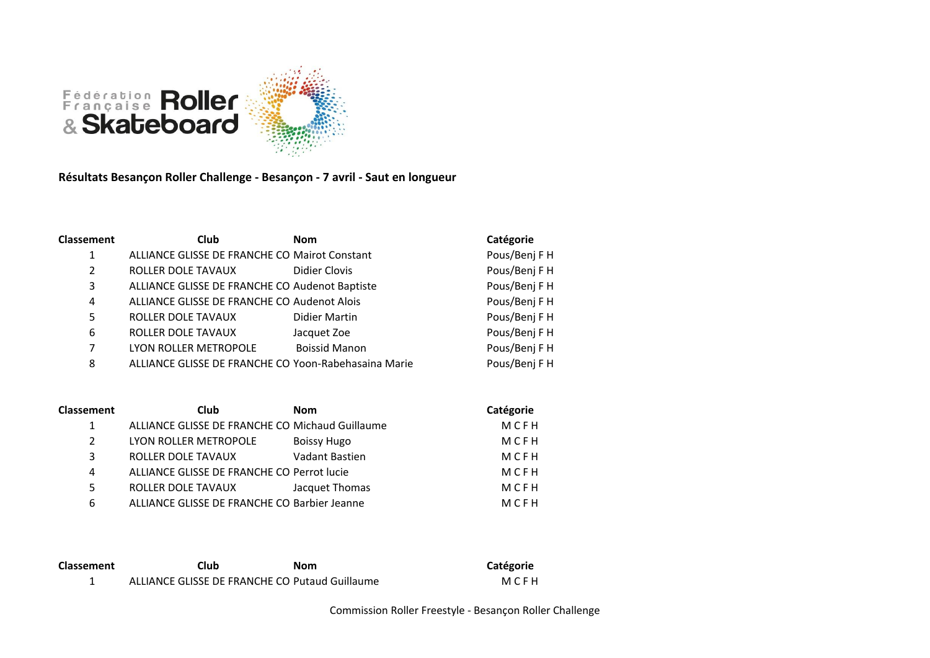

**Résultats Besançon Roller Challenge - Besançon - 7 avril - Saut en longueur**

| <b>Classement</b> | <b>Club</b>                                          | <b>Nom</b>           | Catégorie     |
|-------------------|------------------------------------------------------|----------------------|---------------|
| 1                 | ALLIANCE GLISSE DE FRANCHE CO Mairot Constant        |                      | Pous/Benj F H |
| 2                 | ROLLER DOLE TAVAUX                                   | Didier Clovis        | Pous/Benj F H |
| 3                 | ALLIANCE GLISSE DE FRANCHE CO Audenot Baptiste       |                      | Pous/Benj F H |
| 4                 | ALLIANCE GLISSE DE FRANCHE CO Audenot Alois          |                      | Pous/Benj F H |
| 5                 | ROLLER DOLE TAVAUX                                   | Didier Martin        | Pous/Benj F H |
| 6                 | ROLLER DOLE TAVAUX                                   | Jacquet Zoe          | Pous/Benj F H |
| 7                 | LYON ROLLER METROPOLE                                | <b>Boissid Manon</b> | Pous/Benj F H |
| 8                 | ALLIANCE GLISSE DE FRANCHE CO Yoon-Rabehasaina Marie |                      | Pous/Benj F H |

| <b>Classement</b> | <b>Club</b>                                     | <b>Nom</b>     | Catégorie |
|-------------------|-------------------------------------------------|----------------|-----------|
| 1                 | ALLIANCE GLISSE DE FRANCHE CO Michaud Guillaume |                | MCFH      |
| $\mathcal{L}$     | LYON ROLLER METROPOLE                           | Boissy Hugo    | MCFH      |
| 3                 | ROLLER DOLE TAVAUX                              | Vadant Bastien | MCFH      |
| 4                 | ALLIANCE GLISSE DE FRANCHE CO Perrot lucie      |                | MCFH      |
| 5                 | ROLLER DOLE TAVAUX                              | Jacquet Thomas | MCFH      |
| 6                 | ALLIANCE GLISSE DE FRANCHE CO Barbier Jeanne    |                | MCFH      |

| <b>Classement</b> | Club                                           | Nom | Catégorie |
|-------------------|------------------------------------------------|-----|-----------|
|                   | ALLIANCE GLISSE DE FRANCHE CO Putaud Guillaume |     | MCFH      |